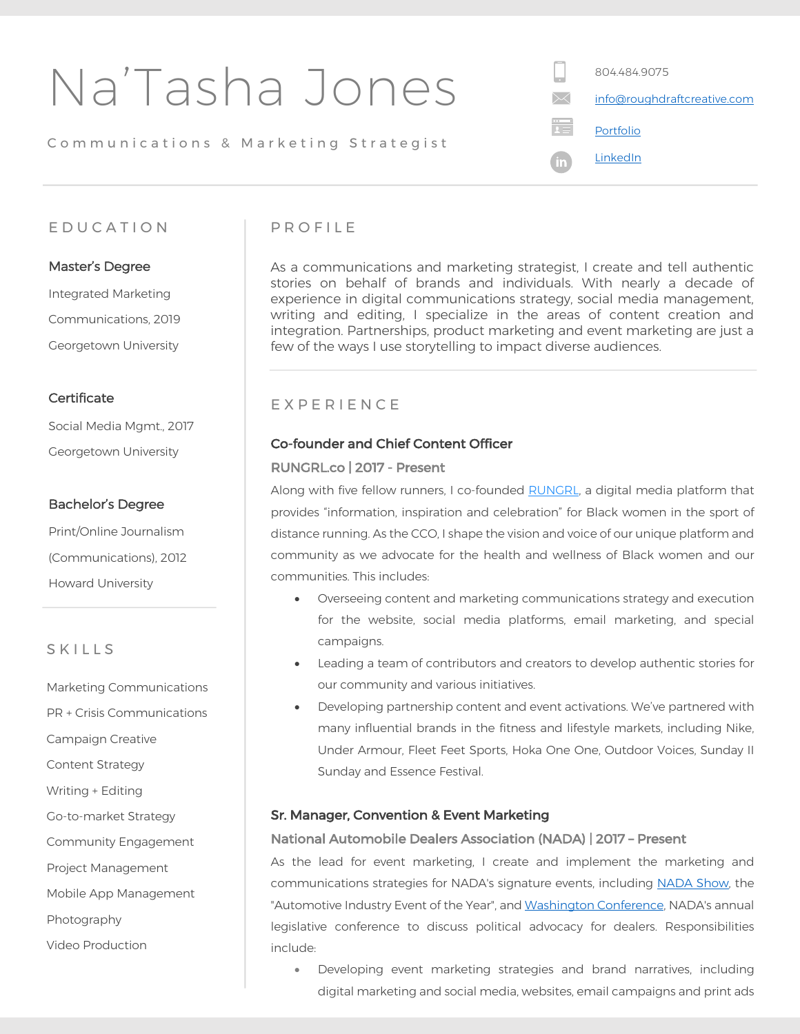| Na'Tasha Jones                        | 804.484.9075<br>info@roughdraftcreative.com |
|---------------------------------------|---------------------------------------------|
| Communications & Marketing Strategist | Portfolio                                   |
|                                       | LinkedIn                                    |
|                                       |                                             |

## EDUCATIO N

### Master's Degree

 Georgetown University Integrated Marketing Communications, 2019

### **Certificate**

Social Media Mgmt., 2017 Georgetown University

### Bachelor's Degree

Print/Online Journalism (Communications), 2012 Howard University

## **SKILLS**

Marketing Communications PR + Crisis Communications Campaign Creative Content Strategy Writing + Editing Go-to-market Strategy Community Engagement Project Management Mobile App Management Photography Video Production

## PROFILE

As a communications and marketing strategist, I create and tell authentic stories on behalf of brands and individuals. With nearly a decade of experience in digital communications strategy, social media management, writing and editing, I specialize in the areas of content creation and integration. Partnerships, product marketing and event marketing are just a few of the ways I use storytelling to impact diverse audiences.

## EXPERIENCE

#### Co-founder and Chief Content Officer

#### RUNGRL.co | 2017 - Present

Along with five fellow runners, I co-founded RUNGRL, a digital media platform that provides "information, inspiration and celebration" for Black women in the sport of distance running. As the CCO, I shape the vision and voice of our unique platform and community as we advocate for the health and wellness of Black women and our communities. This includes:

- Overseeing content and marketing communications strategy and execution for the website, social media platforms, email marketing, and special campaigns.
- Leading a team of contributors and creators to develop authentic stories for our community and various initiatives.
- Developing partnership content and event activations. We've partnered with many influential brands in the fitness and lifestyle markets, including Nike, Under Armour, Fleet Feet Sports, Hoka One One, Outdoor Voices, Sunday II Sunday and Essence Festival.

#### Sr. Manager, Convention & Event Marketing

#### National Automobile Dealers Association (NADA) | 2017 – Present

As the lead for event marketing, I create and implement the marketing and communications strategies for NADA's signature events, including NADA Show, the "Automotive Industry Event of the Year", and Washington Conference, NADA's annual legislative conference to discuss political advocacy for dealers. Responsibilities include:

• Developing event marketing strategies and brand narratives, including digital marketing and social media, websites, email campaigns and print ads